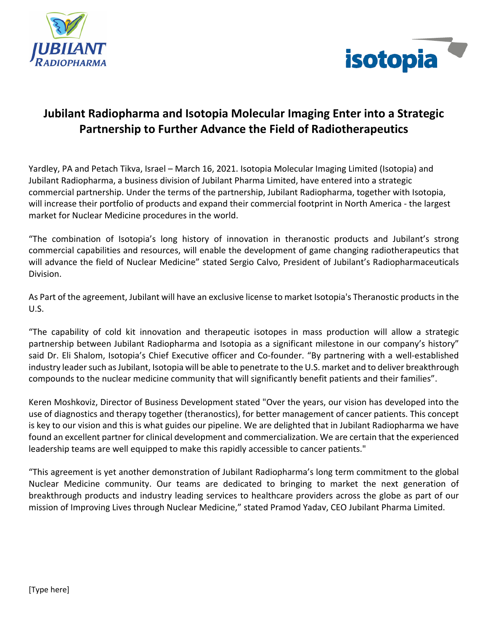



# **Jubilant Radiopharma and Isotopia Molecular Imaging Enter into a Strategic Partnership to Further Advance the Field of Radiotherapeutics**

Yardley, PA and Petach Tikva, Israel – March 16, 2021. Isotopia Molecular Imaging Limited (Isotopia) and Jubilant Radiopharma, a business division of Jubilant Pharma Limited, have entered into a strategic commercial partnership. Under the terms of the partnership, Jubilant Radiopharma, together with Isotopia, will increase their portfolio of products and expand their commercial footprint in North America - the largest market for Nuclear Medicine procedures in the world.

"The combination of Isotopia's long history of innovation in theranostic products and Jubilant's strong commercial capabilities and resources, will enable the development of game changing radiotherapeutics that will advance the field of Nuclear Medicine" stated Sergio Calvo, President of Jubilant's Radiopharmaceuticals Division.

As Part of the agreement, Jubilant will have an exclusive license to market Isotopia's Theranostic products in the U.S.

"The capability of cold kit innovation and therapeutic isotopes in mass production will allow a strategic partnership between Jubilant Radiopharma and Isotopia as a significant milestone in our company's history" said Dr. Eli Shalom, Isotopia's Chief Executive officer and Co-founder. "By partnering with a well-established industry leader such as Jubilant, Isotopia will be able to penetrate to the U.S. market and to deliver breakthrough compounds to the nuclear medicine community that will significantly benefit patients and their families".

Keren Moshkoviz, Director of Business Development stated "Over the years, our vision has developed into the use of diagnostics and therapy together (theranostics), for better management of cancer patients. This concept is key to our vision and this is what guides our pipeline. We are delighted that in Jubilant Radiopharma we have found an excellent partner for clinical development and commercialization. We are certain that the experienced leadership teams are well equipped to make this rapidly accessible to cancer patients."

"This agreement is yet another demonstration of Jubilant Radiopharma's long term commitment to the global Nuclear Medicine community. Our teams are dedicated to bringing to market the next generation of breakthrough products and industry leading services to healthcare providers across the globe as part of our mission of Improving Lives through Nuclear Medicine," stated Pramod Yadav, CEO Jubilant Pharma Limited.